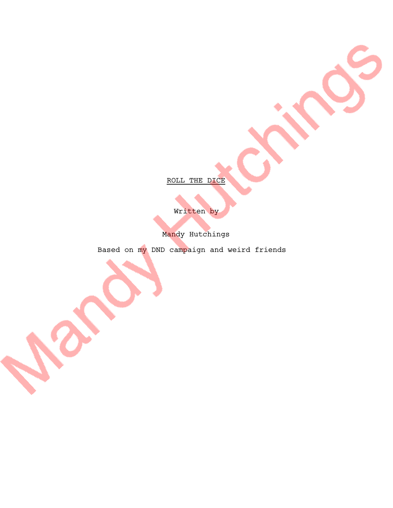ROLL THE DICE

Written by

Mandy Hutchings

Based on my DND campaign and weird friends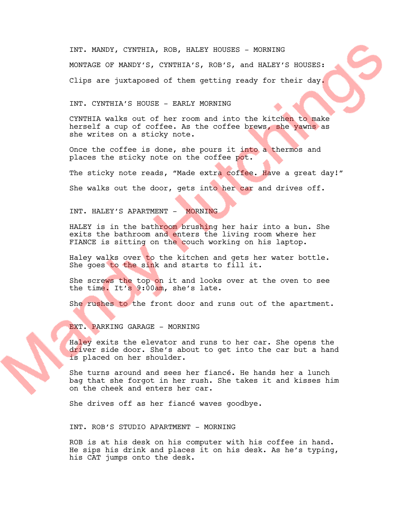INT. MANDY, CYNTHIA, ROB, HALEY HOUSES - MORNING MONTAGE OF MANDY'S, CYNTHIA'S, ROB'S, and HALEY'S HOUSES: Clips are juxtaposed of them getting ready for their day.

INT. CYNTHIA'S HOUSE - EARLY MORNING

CYNTHIA walks out of her room and into the kitchen to make herself a cup of coffee. As the coffee brews, she yawns as she writes on a sticky note.

Once the coffee is done, she pours it into a thermos and places the sticky note on the coffee pot.

The sticky note reads, "Made extra coffee. Have a great day!"

She walks out the door, gets into her car and drives off.

INT. HALEY'S APARTMENT - MORNING

HALEY is in the bathroom brushing her hair into a bun. She exits the bathroom and enters the living room where her FIANCE is sitting on the couch working on his laptop.

Haley walks over to the kitchen and gets her water bottle. She goes to the sink and starts to fill it.

She screws the top on it and looks over at the oven to see the time. It's 9:00am, she's late.

She rushes to the front door and runs out of the apartment.

EXT. PARKING GARAGE - MORNING

Haley exits the elevator and runs to her car. She opens the driver side door. She's about to get into the car but a hand is placed on her shoulder.

She turns around and sees her fiancé. He hands her a lunch bag that she forgot in her rush. She takes it and kisses him on the cheek and enters her car.

She drives off as her fiancé waves goodbye.

INT. ROB'S STUDIO APARTMENT - MORNING

ROB is at his desk on his computer with his coffee in hand. He sips his drink and places it on his desk. As he's typing, his CAT jumps onto the desk.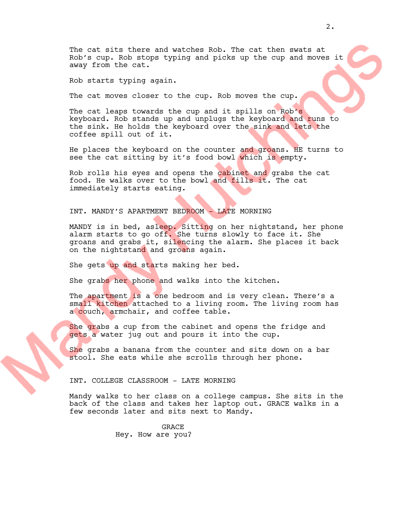The cat sits there and watches Rob. The cat then swats at Rob's cup. Rob stops typing and picks up the cup and moves it away from the cat.

Rob starts typing again.

The cat moves closer to the cup. Rob moves the cup.

The cat leaps towards the cup and it spills on Rob's keyboard. Rob stands up and unplugs the keyboard and runs to the sink. He holds the keyboard over the sink and lets the coffee spill out of it.

He places the keyboard on the counter and groans. HE turns to see the cat sitting by it's food bowl which is empty.

Rob rolls his eyes and opens the cabinet and grabs the cat food. He walks over to the bowl and fills it. The cat immediately starts eating.

## INT. MANDY'S APARTMENT BEDROOM - LATE MORNING

MANDY is in bed, asleep. Sitting on her nightstand, her phone alarm starts to go off. She turns slowly to face it. She groans and grabs it, silencing the alarm. She places it back on the nightstand and groans again.

She gets up and starts making her bed.

She grabs her phone and walks into the kitchen.

The apartment is a one bedroom and is very clean. There's a small kitchen attached to a living room. The living room has a couch, armchair, and coffee table.

She grabs a cup from the cabinet and opens the fridge and gets a water jug out and pours it into the cup.

She grabs a banana from the counter and sits down on a bar stool. She eats while she scrolls through her phone.

### INT. COLLEGE CLASSROOM - LATE MORNING

Mandy walks to her class on a college campus. She sits in the back of the class and takes her laptop out. GRACE walks in a few seconds later and sits next to Mandy.

> GRACE Hey. How are you?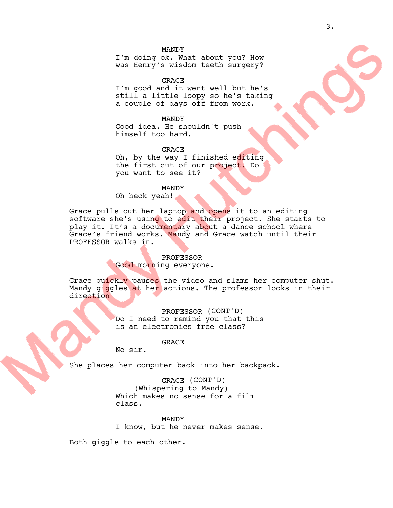I'm doing ok. What about you? How was Henry's wisdom teeth surgery?

GRACE I'm good and it went well but he's still a little loopy so he's taking a couple of days off from work.

MANDY Good idea. He shouldn't push himself too hard.

GRACE Oh, by the way I finished editing the first cut of our project. Do you want to see it?

#### MANDY

Oh heck yeah!

Grace pulls out her laptop and opens it to an editing software she's using to edit their project. She starts to play it. It's a documentary about a dance school where Grace's friend works. Mandy and Grace watch until their PROFESSOR walks in.

## PROFESSOR Good morning everyone.

Grace quickly pauses the video and slams her computer shut. Mandy giggles at her actions. The professor looks in their direction

> PROFESSOR (CONT'D) Do I need to remind you that this is an electronics free class?

> > GRACE

No sir.

She places her computer back into her backpack.

GRACE (CONT'D) (Whispering to Mandy) Which makes no sense for a film class.

MANDY I know, but he never makes sense.

Both giggle to each other.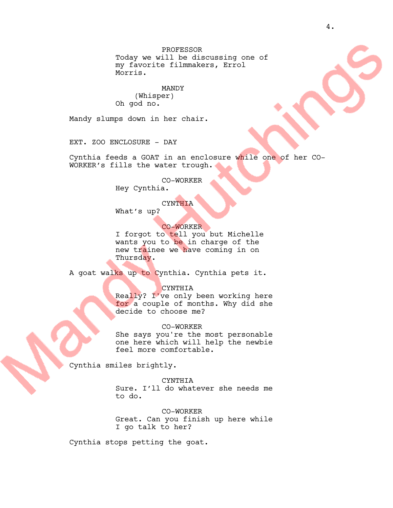PROFESSOR Today we will be discussing one of my favorite filmmakers, Errol Morris.

MANDY (Whisper) Oh god no.

Mandy slumps down in her chair.

EXT. ZOO ENCLOSURE - DAY

Cynthia feeds a GOAT in an enclosure while one of her CO-WORKER's fills the water trough.

CO-WORKER

Hey Cynthia.

# **CYNTHIA**

What's up?

CO-WORKER

I forgot to tell you but Michelle wants you to be in charge of the new trainee we have coming in on Thursday.

A goat walks up to Cynthia. Cynthia pets it.

CYNTHIA

Really? I've only been working here for a couple of months. Why did she decide to choose me?

CO-WORKER

She says you're the most personable one here which will help the newbie feel more comfortable.

Cynthia smiles brightly.

CYNTHIA Sure. I'll do whatever she needs me to do.

CO-WORKER Great. Can you finish up here while I go talk to her?

Cynthia stops petting the goat.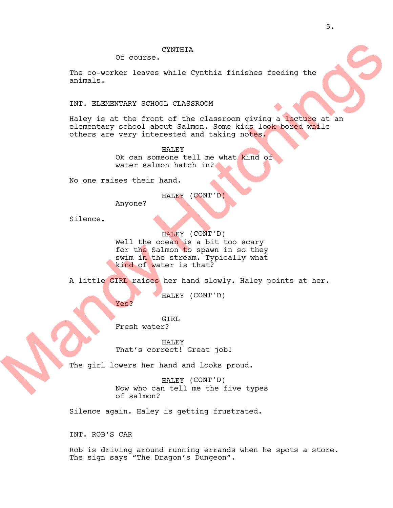Of course.

The co-worker leaves while Cynthia finishes feeding the animals.

INT. ELEMENTARY SCHOOL CLASSROOM

Haley is at the front of the classroom giving a lecture at an elementary school about Salmon. Some kids look bored while others are very interested and taking notes.

> HALEY Ok can someone tell me what kind of water salmon hatch in?

No one raises their hand.

Yes?

HALEY (CONT'D)

Anyone?

Silence.

HALEY (CONT'D) Well the ocean is a bit too scary for the Salmon to spawn in so they swim in the stream. Typically what kind of water is that?

A little GIRL raises her hand slowly. Haley points at her.

HALEY (CONT'D)

GTRT. Fresh water?

HALEY That's correct! Great job!

The girl lowers her hand and looks proud.

HALEY (CONT'D) Now who can tell me the five types of salmon?

Silence again. Haley is getting frustrated.

INT. ROB'S CAR

Rob is driving around running errands when he spots a store. The sign says "The Dragon's Dungeon".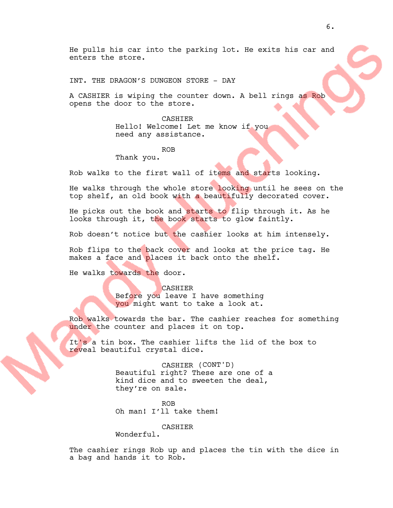He pulls his car into the parking lot. He exits his car and enters the store.

INT. THE DRAGON'S DUNGEON STORE - DAY

A CASHIER is wiping the counter down. A bell rings as Rob opens the door to the store.

> CASHIER Hello! Welcome! Let me know if you need any assistance.

> > ROB

Thank you.

Rob walks to the first wall of items and starts looking.

He walks through the whole store looking until he sees on the top shelf, an old book with a beautifully decorated cover.

He picks out the book and starts to flip through it. As he looks through it, the book starts to glow faintly.

Rob doesn't notice but the cashier looks at him intensely.

Rob flips to the back cover and looks at the price tag. He makes a face and places it back onto the shelf.

He walks towards the door.

**CASHIER** Before you leave I have something you might want to take a look at.

Rob walks towards the bar. The cashier reaches for something under the counter and places it on top.

It's a tin box. The cashier lifts the lid of the box to reveal beautiful crystal dice.

> CASHIER (CONT'D) Beautiful right? These are one of a kind dice and to sweeten the deal, they're on sale.

ROB Oh man! I'll take them!

CASHIER

Wonderful.

The cashier rings Rob up and places the tin with the dice in a bag and hands it to Rob.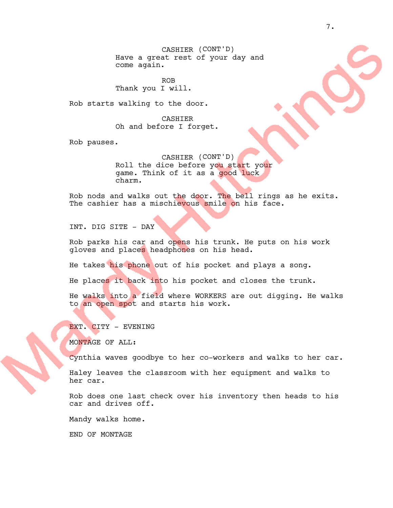CASHIER (CONT'D) Have a great rest of your day and come again.

ROB Thank you I will.

Rob starts walking to the door.

CASHIER Oh and before I forget.

Rob pauses.

CASHIER (CONT'D) Roll the dice before you start your game. Think of it as a good luck charm.

Rob nods and walks out the door. The bell rings as he exits. The cashier has a mischievous smile on his face.

INT. DIG SITE - DAY

Rob parks his car and opens his trunk. He puts on his work gloves and places headphones on his head.

He takes his phone out of his pocket and plays a song.

He places it back into his pocket and closes the trunk.

He walks into a field where WORKERS are out digging. He walks to an open spot and starts his work.

EXT. CITY - EVENING

MONTAGE OF ALL:

Cynthia waves goodbye to her co-workers and walks to her car.

Haley leaves the classroom with her equipment and walks to her car.

Rob does one last check over his inventory then heads to his car and drives off.

Mandy walks home.

END OF MONTAGE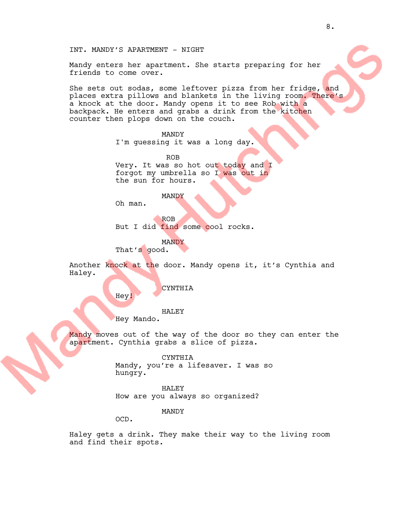INT. MANDY'S APARTMENT - NIGHT

Mandy enters her apartment. She starts preparing for her friends to come over.

She sets out sodas, some leftover pizza from her fridge, and places extra pillows and blankets in the living room. There's a knock at the door. Mandy opens it to see Rob with a backpack. He enters and grabs a drink from the kitchen counter then plops down on the couch.

## MANDY

I'm guessing it was a long day.

ROB Very. It was so hot out today and I forgot my umbrella so I was out in the sun for hours.

MANDY

Oh man.

ROB But I did find some cool rocks.

MANDY

That's good.

Another knock at the door. Mandy opens it, it's Cynthia and Haley.

CYNTHIA

Hey!

#### HALEY

Hey Mando.

Mandy moves out of the way of the door so they can enter the apartment. Cynthia grabs a slice of pizza.

CYNTHIA

Mandy, you're a lifesaver. I was so hungry.

#### HALEY

How are you always so organized?

MANDY

OCD.

Haley gets a drink. They make their way to the living room and find their spots.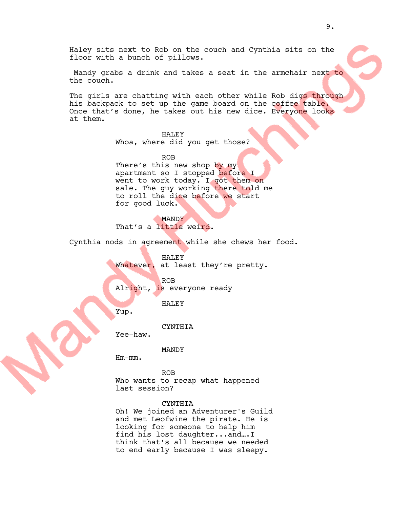Haley sits next to Rob on the couch and Cynthia sits on the floor with a bunch of pillows.

Mandy grabs a drink and takes a seat in the armchair next to the couch.

The girls are chatting with each other while Rob digs through his backpack to set up the game board on the coffee table. Once that's done, he takes out his new dice. Everyone looks at them.

### HALEY

Whoa, where did you get those?

ROB There's this new shop by my apartment so I stopped before I went to work today. I got them on sale. The guy working there told me to roll the dice before we start for good luck.

**MANDY** That's a little weird.

Cynthia nods in agreement while she chews her food.

HALEY Whatever, at least they're pretty.

ROB Alright, is everyone ready

HALEY

Yup.

CYNTHIA

Yee-haw.

MANDY

Hm-mm.

ROB Who wants to recap what happened last session?

### **CYNTHIA**

Oh! We joined an Adventurer's Guild and met Leofwine the pirate. He is looking for someone to help him find his lost daughter...and….I think that's all because we needed to end early because I was sleepy.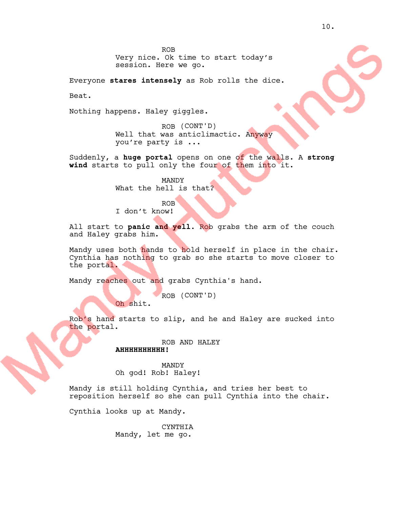Everyone **stares intensely** as Rob rolls the dice.

Beat.

Nothing happens. Haley giggles.

ROB (CONT'D) Well that was anticlimactic. Anyway you're party is ...

Suddenly, a **huge portal** opens on one of the walls. A **strong wind** starts to pull only the four of them into it.

> MANDY What the hell is that?

ROB I don't know!

All start to **panic and yell**. Rob grabs the arm of the couch and Haley grabs him.

Mandy uses both hands to hold herself in place in the chair. Cynthia has nothing to grab so she starts to move closer to the portal.

Mandy reaches out and grabs Cynthia's hand.

ROB (CONT'D)

Oh shit.

Rob's hand starts to slip, and he and Haley are sucked into the portal.

> ROB AND HALEY **AHHHHHHHHHH!**

MANDY Oh god! Rob! Haley!

Mandy is still holding Cynthia, and tries her best to reposition herself so she can pull Cynthia into the chair.

Cynthia looks up at Mandy.

CYNTHIA Mandy, let me go.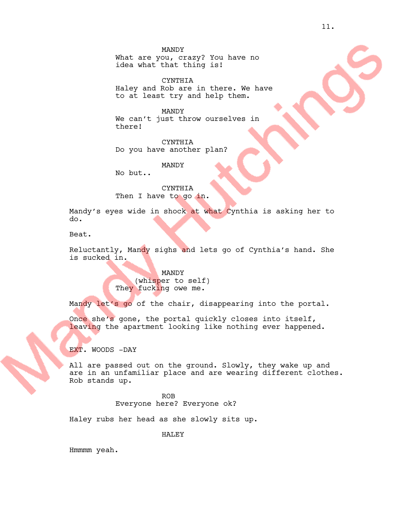What are you, crazy? You have no idea what that thing is!

CYNTHIA Haley and Rob are in there. We have to at least try and help them.

MANDY We can't just throw ourselves in there!

CYNTHIA Do you have another plan?

MANDY

No but..

CYNTHIA Then I have to go in.

Mandy's eyes wide in shock at what Cynthia is asking her to do.

Beat.

Reluctantly, Mandy sighs and lets go of Cynthia's hand. She is sucked in.

> MANDY (whisper to self) They fucking owe me.

Mandy let's go of the chair, disappearing into the portal.

Once she's gone, the portal quickly closes into itself, leaving the apartment looking like nothing ever happened.

EXT. WOODS -DAY

All are passed out on the ground. Slowly, they wake up and are in an unfamiliar place and are wearing different clothes. Rob stands up.

> ROB Everyone here? Everyone ok?

Haley rubs her head as she slowly sits up.

HALEY

Hmmmm yeah.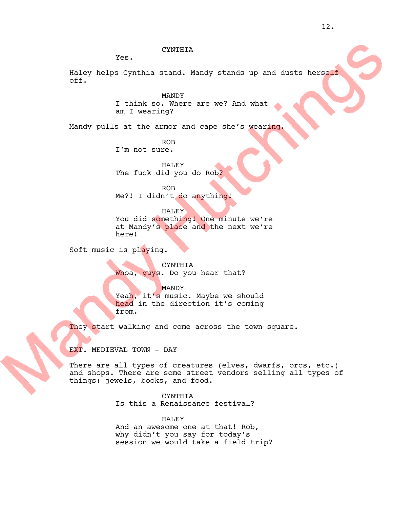## CYNTHIA

Yes.

Haley helps Cynthia stand. Mandy stands up and dusts herself off.

> MANDY I think so. Where are we? And what am I wearing?

Mandy pulls at the armor and cape she's wearing.

ROB I'm not sure.

HALEY The fuck did you do Rob?

ROB

Me?! I didn't do anything!

HALEY You did something! One minute we're at Mandy's place and the next we're here!

Soft music is playing.

CYNTHIA Whoa, guys. Do you hear that?

MANDY Yeah, it's music. Maybe we should head in the direction it's coming from.

They start walking and come across the town square.

EXT. MEDIEVAL TOWN - DAY

There are all types of creatures (elves, dwarfs, orcs, etc.) and shops. There are some street vendors selling all types of things: jewels, books, and food.

CYNTHIA

Is this a Renaissance festival?

HALEY And an awesome one at that! Rob,

why didn't you say for today's session we would take a field trip?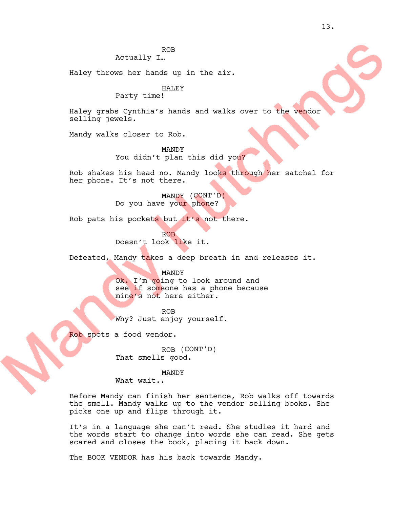ROB

Actually I…

Haley throws her hands up in the air.

## HALEY

Party time!

Haley grabs Cynthia's hands and walks over to the vendor selling jewels.

Mandy walks closer to Rob.

MANDY You didn't plan this did you?

Rob shakes his head no. Mandy looks through her satchel for her phone. It's not there.

> MANDY (CONT'D) Do you have your phone?

Rob pats his pockets but it's not there.

ROB Doesn't look like it.

Defeated, Mandy takes a deep breath in and releases it.

MANDY

Ok. I'm going to look around and see if someone has a phone because mine's not here either.

ROB Why? Just enjoy yourself.

Rob spots a food vendor.

ROB (CONT'D) That smells good.

#### MANDY

What wait..

Before Mandy can finish her sentence, Rob walks off towards the smell. Mandy walks up to the vendor selling books. She picks one up and flips through it.

It's in a language she can't read. She studies it hard and the words start to change into words she can read. She gets scared and closes the book, placing it back down.

The BOOK VENDOR has his back towards Mandy.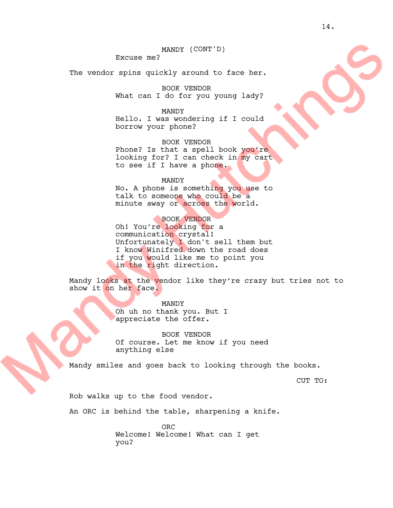## MANDY (CONT'D)

Excuse me?

The vendor spins quickly around to face her.

BOOK VENDOR What can I do for you young lady?

MANDY

Hello. I was wondering if I could borrow your phone?

BOOK VENDOR Phone? Is that a spell book you're looking for? I can check in my cart to see if I have a phone.

#### MANDY

No. A phone is something you use to talk to someone who could be a minute away or across the world.

BOOK VENDOR

Oh! You're looking for a communication crystal! Unfortunately I don't sell them but I know Winifred down the road does if you would like me to point you in the right direction.

Mandy looks at the vendor like they're crazy but tries not to show it on her face.

> MANDY Oh uh no thank you. But I appreciate the offer.

BOOK VENDOR Of course. Let me know if you need anything else

Mandy smiles and goes back to looking through the books.

CUT TO:

Rob walks up to the food vendor.

An ORC is behind the table, sharpening a knife.

ORC Welcome! Welcome! What can I get you?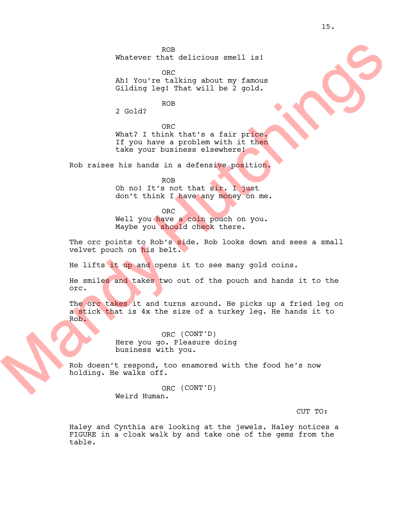ROB Whatever that delicious smell is!

ORC Ah! You're talking about my famous Gilding leg! That will be 2 gold.

ROB

2 Gold?

ORC What? I think that's a fair price. If you have a problem with it then take your business elsewhere!

Rob raises his hands in a defensive position.

ROB Oh no! It's not that sir. I just don't think I have any money on me.

ORC Well you have a coin pouch on you. Maybe you should check there.

The orc points to Rob's side. Rob looks down and sees a small velvet pouch on his belt.

He lifts it up and opens it to see many gold coins.

He smiles and takes two out of the pouch and hands it to the orc.

The orc takes it and turns around. He picks up a fried leg on a stick that is 4x the size of a turkey leg. He hands it to Rob.

> ORC (CONT'D) Here you go. Pleasure doing business with you.

Rob doesn't respond, too enamored with the food he's now holding. He walks off.

> ORC (CONT'D) Weird Human.

> > CUT TO:

Haley and Cynthia are looking at the jewels. Haley notices a FIGURE in a cloak walk by and take one of the gems from the table.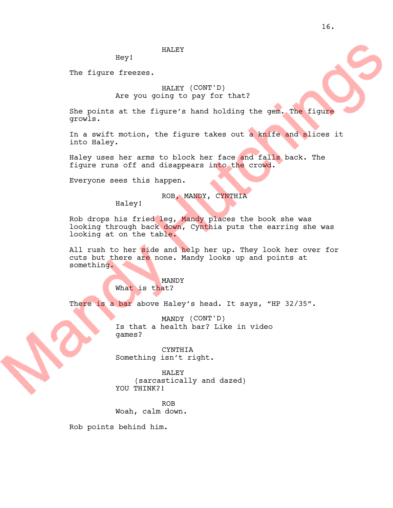HALEY

Hey!

The figure freezes.

# HALEY (CONT'D) Are you going to pay for that?

She points at the figure's hand holding the gem. The figure growls.

In a swift motion, the figure takes out a knife and slices it into Haley.

Haley uses her arms to block her face and falls back. The figure runs off and disappears into the crowd.

Everyone sees this happen.

ROB, MANDY, CYNTHIA

Haley!

Rob drops his fried leg, Mandy places the book she was looking through back down, Cynthia puts the earring she was looking at on the table.

All rush to her side and help her up. They look her over for cuts but there are none. Mandy looks up and points at something.

> MANDY What is that?

There is a bar above Haley's head. It says, "HP 32/35".

MANDY (CONT'D) Is that a health bar? Like in video games?

CYNTHIA Something isn't right.

HALEY (sarcastically and dazed) YOU THINK?!

ROB Woah, calm down.

Rob points behind him.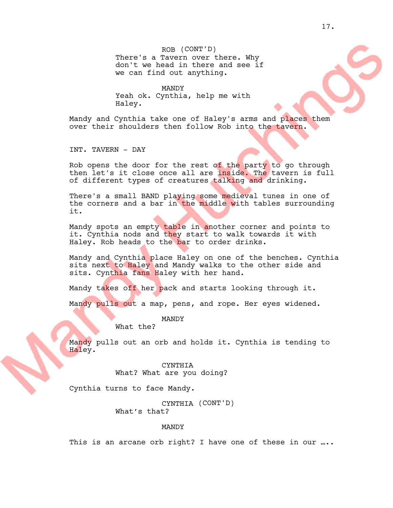ROB (CONT'D) There's a Tavern over there. Why don't we head in there and see if we can find out anything.

MANDY Yeah ok. Cynthia, help me with Haley.

Mandy and Cynthia take one of Haley's arms and places them over their shoulders then follow Rob into the tavern.

INT. TAVERN - DAY

Rob opens the door for the rest of the party to go through then let's it close once all are inside. The tavern is full of different types of creatures talking and drinking.

There's a small BAND playing some medieval tunes in one of the corners and a bar in the middle with tables surrounding it.

Mandy spots an empty table in another corner and points to it. Cynthia nods and they start to walk towards it with Haley. Rob heads to the bar to order drinks.

Mandy and Cynthia place Haley on one of the benches. Cynthia sits next to Haley and Mandy walks to the other side and sits. Cynthia fans Haley with her hand.

Mandy takes off her pack and starts looking through it.

Mandy pulls out a map, pens, and rope. Her eyes widened.

MANDY What the?

Mandy pulls out an orb and holds it. Cynthia is tending to Haley.

> CYNTHIA What? What are you doing?

Cynthia turns to face Mandy.

CYNTHIA (CONT'D) What's that?

### MANDY

This is an arcane orb right? I have one of these in our ....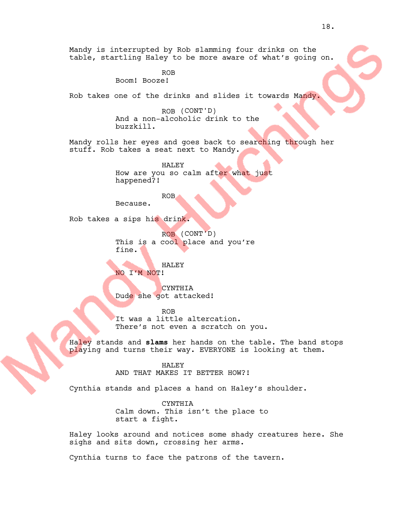Mandy is interrupted by Rob slamming four drinks on the table, startling Haley to be more aware of what's going on.

ROB

Boom! Booze!

Rob takes one of the drinks and slides it towards Mandy.

ROB (CONT'D) And a non-alcoholic drink to the buzzkill.

Mandy rolls her eyes and goes back to searching through her stuff. Rob takes a seat next to Mandy.

> HALEY How are you so calm after what just happened?!

> > ROB

Because.

Rob takes a sips his drink.

ROB (CONT'D) This is a cool place and you're fine.

HALEY NO I'M NOT!

CYNTHIA Dude she got attacked!

ROB

It was a little altercation. There's not even a scratch on you.

Haley stands and **slams** her hands on the table. The band stops playing and turns their way. EVERYONE is looking at them.

HALEY

AND THAT MAKES IT BETTER HOW?!

Cynthia stands and places a hand on Haley's shoulder.

CYNTHIA Calm down. This isn't the place to start a fight.

Haley looks around and notices some shady creatures here. She sighs and sits down, crossing her arms.

Cynthia turns to face the patrons of the tavern.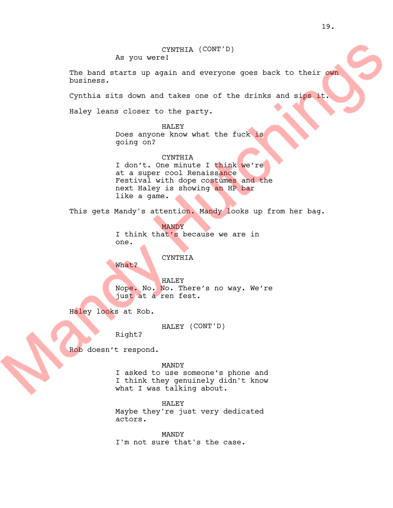CYNTHIA (CONT'D) As you were!

The band starts up again and everyone goes back to their own business.

Cynthia sits down and takes one of the drinks and sips it.

Haley leans closer to the party.

HALEY Does anyone know what the fuck is going on?

#### CYNTHIA

I don't. One minute I think we're at a super cool Renaissance Festival with dope costumes and the next Haley is showing an HP bar like a game.

This gets Mandy's attention. Mandy looks up from her bag.

MANDY

I think that's because we are in one.

## CYNTHIA

What?

HALEY Nope. No. No. There's no way. We're just at a ren fest.

Haley looks at Rob.

HALEY (CONT'D)

Right?

Rob doesn't respond.

MANDY

I asked to use someone's phone and I think they genuinely didn't know what I was talking about.

HALEY Maybe they're just very dedicated actors.

MANDY I'm not sure that's the case.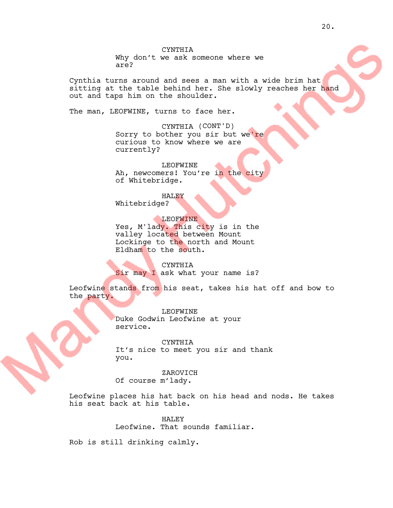CYNTHIA Why don't we ask someone where we are?

Cynthia turns around and sees a man with a wide brim hat sitting at the table behind her. She slowly reaches her hand out and taps him on the shoulder.

The man, LEOFWINE, turns to face her.

CYNTHIA (CONT'D) Sorry to bother you sir but we're curious to know where we are currently?

LEOFWINE Ah, newcomers! You're in the city of Whitebridge.

HALEY Whitebridge?

LEOFWINE

Yes, M'lady. This city is in the valley located between Mount Lockinge to the north and Mount Eldham to the south.

CYNTHIA

Sir may I ask what your name is?

Leofwine stands from his seat, takes his hat off and bow to the party.

> LEOFWINE Duke Godwin Leofwine at your service.

CYNTHIA It's nice to meet you sir and thank you.

ZAROVICH Of course m'lady.

Leofwine places his hat back on his head and nods. He takes his seat back at his table.

> HALEY Leofwine. That sounds familiar.

Rob is still drinking calmly.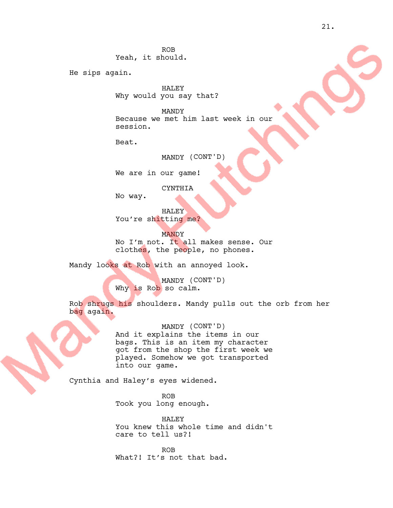ROB Yeah, it should.

He sips again.

HALEY Why would you say that?

MANDY Because we met him last week in our session.

Beat.

MANDY (CONT'D)

We are in our game!

CYNTHIA

No way.

HALEY You're shitting me?

**MANDY** No I'm not. It all makes sense. Our clothes, the people, no phones.

Mandy looks at Rob with an annoyed look.

MANDY (CONT'D) Why is Rob so calm.

Rob shrugs his shoulders. Mandy pulls out the orb from her bag again.

> MANDY (CONT'D) And it explains the items in our bags. This is an item my character got from the shop the first week we played. Somehow we got transported into our game.

Cynthia and Haley's eyes widened.

ROB Took you long enough.

HALEY You knew this whole time and didn't care to tell us?!

ROB What?! It's not that bad.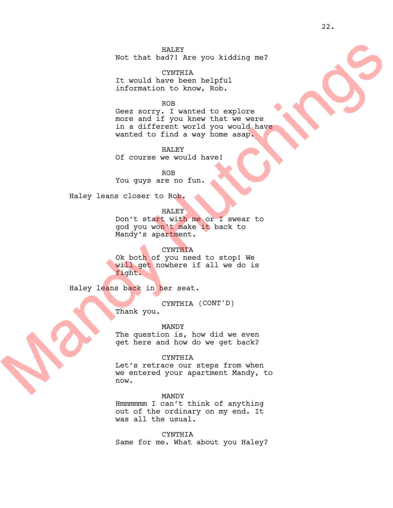HALEY Not that bad?! Are you kidding me?

CYNTHIA It would have been helpful information to know, Rob.

ROB

Geez sorry. I wanted to explore more and if you knew that we were in a different world you would have wanted to find a way home asap.

HALEY Of course we would have!

ROB You guys are no fun.

Haley leans closer to Rob.

HALEY

Don't start with me or I swear to god you won't make it back to Mandy's apartment.

**CYNTHIA** Ok both of you need to stop! We

will get nowhere if all we do is fight.

Haley leans back in her seat.

CYNTHIA (CONT'D)

Thank you.

MANDY

The question is, how did we even get here and how do we get back?

CYNTHIA

Let's retrace our steps from when we entered your apartment Mandy, to now.

MANDY

Hmmmmmm I can't think of anything out of the ordinary on my end. It was all the usual.

CYNTHIA

Same for me. What about you Haley?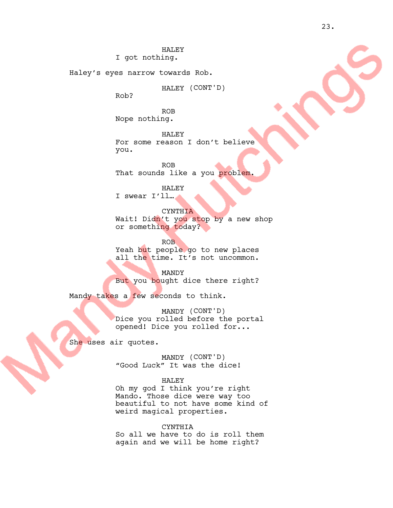HALEY I got nothing.

Haley's eyes narrow towards Rob.

HALEY (CONT'D)

Rob?

ROB Nope nothing.

HALEY For some reason I don't believe you.

ROB That sounds like a you problem.

HALEY

I swear I'll…

**CYNTHIA** Wait! Didn't you stop by a new shop or something today?

ROB Yeah but people go to new places all the time. It's not uncommon.

MANDY But you bought dice there right?

Mandy takes a few seconds to think.

MANDY (CONT'D) Dice you rolled before the portal opened! Dice you rolled for...

She uses air quotes.

MANDY (CONT'D) "Good Luck" It was the dice!

### HALEY

Oh my god I think you're right Mando. Those dice were way too beautiful to not have some kind of weird magical properties.

CYNTHIA So all we have to do is roll them again and we will be home right?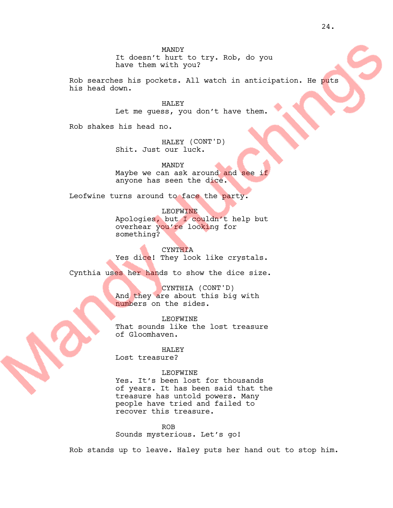MANDY It doesn't hurt to try. Rob, do you have them with you?

Rob searches his pockets. All watch in anticipation. He puts his head down.

> HALEY Let me guess, you don't have them.

Rob shakes his head no.

HALEY (CONT'D) Shit. Just our luck.

MANDY Maybe we can ask around and see if anyone has seen the dice.

Leofwine turns around to face the party.

LEOFWINE Apologies, but I couldn't help but overhear you're looking for something?

**CYNTHIA** Yes dice! They look like crystals.

Cynthia uses her hands to show the dice size.

CYNTHIA (CONT'D) And they are about this big with numbers on the sides.

LEOFWINE That sounds like the lost treasure of Gloomhaven.

HALEY Lost treasure?

LEOFWINE Yes. It's been lost for thousands of years. It has been said that the treasure has untold powers. Many people have tried and failed to recover this treasure.

ROB Sounds mysterious. Let's go!

Rob stands up to leave. Haley puts her hand out to stop him.